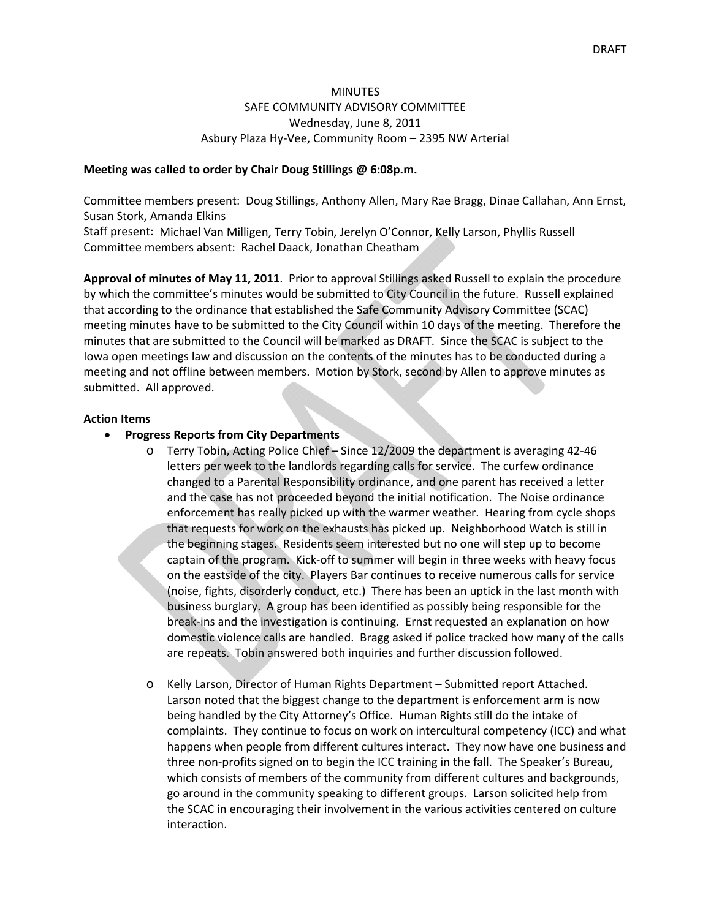### MINUTES SAFE COMMUNITY ADVISORY COMMITTEE Wednesday, June 8, 2011 Asbury Plaza Hy‐Vee, Community Room – 2395 NW Arterial

#### **Meeting was called to order by Chair Doug Stillings @ 6:08p.m.**

Committee members present: Doug Stillings, Anthony Allen, Mary Rae Bragg, Dinae Callahan, Ann Ernst, Susan Stork, Amanda Elkins

Staff present: Michael Van Milligen, Terry Tobin, Jerelyn O'Connor, Kelly Larson, Phyllis Russell Committee members absent: Rachel Daack, Jonathan Cheatham

**Approval of minutes of May 11, 2011**. Prior to approval Stillings asked Russell to explain the procedure by which the committee's minutes would be submitted to City Council in the future. Russell explained that according to the ordinance that established the Safe Community Advisory Committee (SCAC) meeting minutes have to be submitted to the City Council within 10 days of the meeting. Therefore the minutes that are submitted to the Council will be marked as DRAFT. Since the SCAC is subject to the Iowa open meetings law and discussion on the contents of the minutes has to be conducted during a meeting and not offline between members. Motion by Stork, second by Allen to approve minutes as submitted. All approved.

#### **Action Items**

- **Progress Reports from City Departments**
	- o Terry Tobin, Acting Police Chief Since 12/2009 the department is averaging 42‐46 letters per week to the landlords regarding calls for service. The curfew ordinance changed to a Parental Responsibility ordinance, and one parent has received a letter and the case has not proceeded beyond the initial notification. The Noise ordinance enforcement has really picked up with the warmer weather. Hearing from cycle shops that requests for work on the exhausts has picked up. Neighborhood Watch is still in the beginning stages. Residents seem interested but no one will step up to become captain of the program. Kick‐off to summer will begin in three weeks with heavy focus on the eastside of the city. Players Bar continues to receive numerous calls for service (noise, fights, disorderly conduct, etc.) There has been an uptick in the last month with business burglary. A group has been identified as possibly being responsible for the break‐ins and the investigation is continuing. Ernst requested an explanation on how domestic violence calls are handled. Bragg asked if police tracked how many of the calls are repeats. Tobin answered both inquiries and further discussion followed.
	- o Kelly Larson, Director of Human Rights Department Submitted report Attached. Larson noted that the biggest change to the department is enforcement arm is now being handled by the City Attorney's Office. Human Rights still do the intake of complaints. They continue to focus on work on intercultural competency (ICC) and what happens when people from different cultures interact. They now have one business and three non‐profits signed on to begin the ICC training in the fall. The Speaker's Bureau, which consists of members of the community from different cultures and backgrounds, go around in the community speaking to different groups. Larson solicited help from the SCAC in encouraging their involvement in the various activities centered on culture interaction.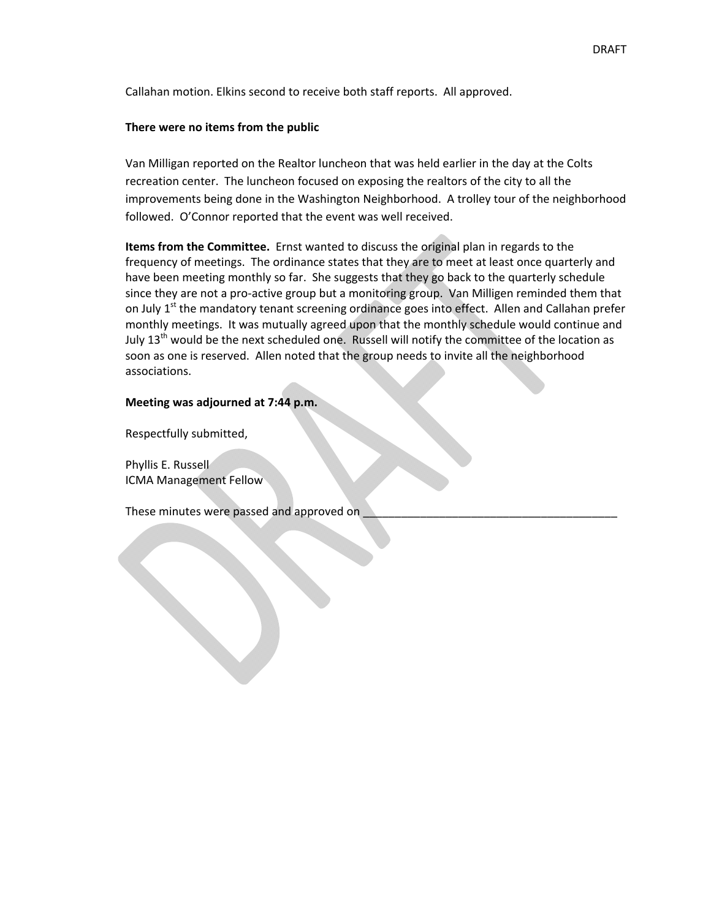Callahan motion. Elkins second to receive both staff reports. All approved.

#### **There were no items from the public**

Van Milligan reported on the Realtor luncheon that was held earlier in the day at the Colts recreation center. The luncheon focused on exposing the realtors of the city to all the improvements being done in the Washington Neighborhood. A trolley tour of the neighborhood followed. O'Connor reported that the event was well received.

**Items from the Committee.** Ernst wanted to discuss the original plan in regards to the frequency of meetings. The ordinance states that they are to meet at least once quarterly and have been meeting monthly so far. She suggests that they go back to the quarterly schedule since they are not a pro-active group but a monitoring group. Van Milligen reminded them that on July 1<sup>st</sup> the mandatory tenant screening ordinance goes into effect. Allen and Callahan prefer monthly meetings. It was mutually agreed upon that the monthly schedule would continue and July  $13<sup>th</sup>$  would be the next scheduled one. Russell will notify the committee of the location as soon as one is reserved. Allen noted that the group needs to invite all the neighborhood associations.

### **Meeting was adjourned at 7:44 p.m.**

Respectfully submitted,

Phyllis E. Russell ICMA Management Fellow

These minutes were passed and approved on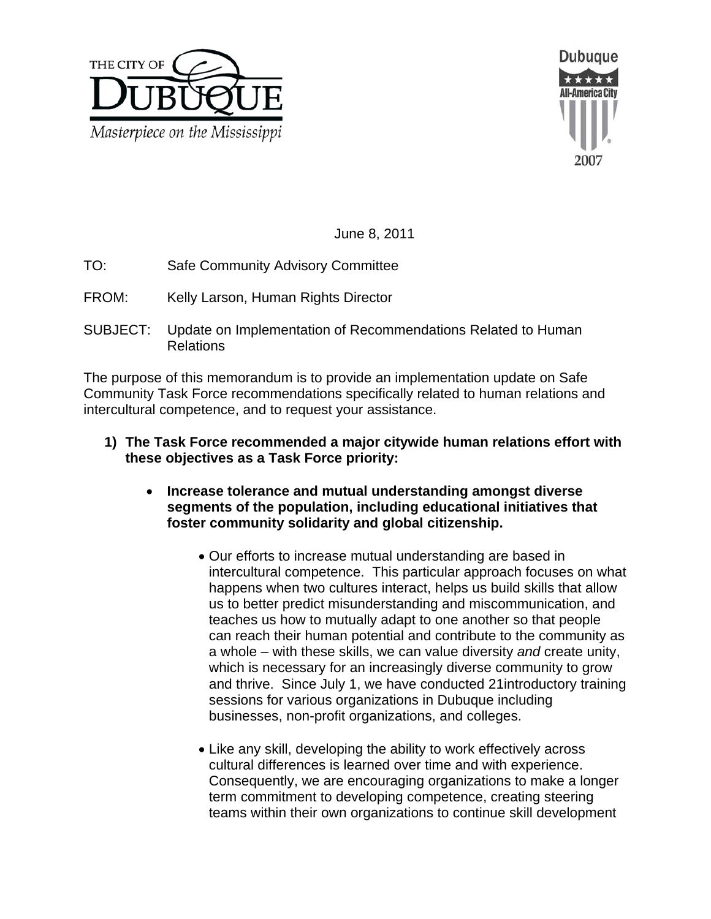



June 8, 2011

- TO: Safe Community Advisory Committee
- FROM: Kelly Larson, Human Rights Director
- SUBJECT: Update on Implementation of Recommendations Related to Human Relations

The purpose of this memorandum is to provide an implementation update on Safe Community Task Force recommendations specifically related to human relations and intercultural competence, and to request your assistance.

- **1) The Task Force recommended a major citywide human relations effort with these objectives as a Task Force priority:** 
	- **Increase tolerance and mutual understanding amongst diverse segments of the population, including educational initiatives that foster community solidarity and global citizenship.** 
		- Our efforts to increase mutual understanding are based in intercultural competence. This particular approach focuses on what happens when two cultures interact, helps us build skills that allow us to better predict misunderstanding and miscommunication, and teaches us how to mutually adapt to one another so that people can reach their human potential and contribute to the community as a whole – with these skills, we can value diversity *and* create unity, which is necessary for an increasingly diverse community to grow and thrive. Since July 1, we have conducted 21introductory training sessions for various organizations in Dubuque including businesses, non-profit organizations, and colleges.
		- Like any skill, developing the ability to work effectively across cultural differences is learned over time and with experience. Consequently, we are encouraging organizations to make a longer term commitment to developing competence, creating steering teams within their own organizations to continue skill development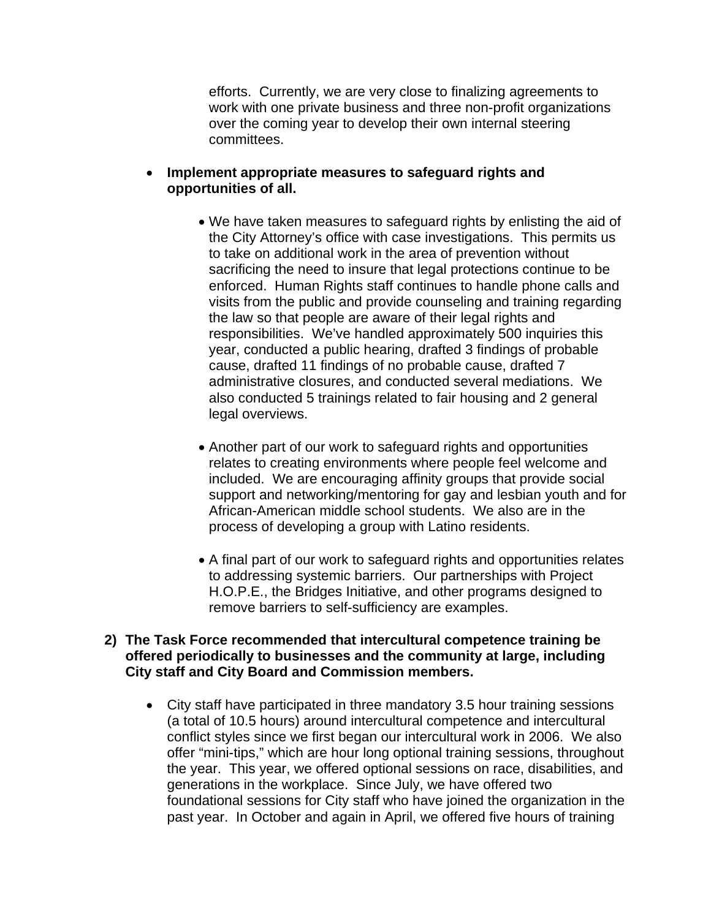efforts. Currently, we are very close to finalizing agreements to work with one private business and three non-profit organizations over the coming year to develop their own internal steering committees.

## **Implement appropriate measures to safeguard rights and opportunities of all.**

- We have taken measures to safeguard rights by enlisting the aid of the City Attorney's office with case investigations. This permits us to take on additional work in the area of prevention without sacrificing the need to insure that legal protections continue to be enforced. Human Rights staff continues to handle phone calls and visits from the public and provide counseling and training regarding the law so that people are aware of their legal rights and responsibilities. We've handled approximately 500 inquiries this year, conducted a public hearing, drafted 3 findings of probable cause, drafted 11 findings of no probable cause, drafted 7 administrative closures, and conducted several mediations. We also conducted 5 trainings related to fair housing and 2 general legal overviews.
- Another part of our work to safeguard rights and opportunities relates to creating environments where people feel welcome and included. We are encouraging affinity groups that provide social support and networking/mentoring for gay and lesbian youth and for African-American middle school students. We also are in the process of developing a group with Latino residents.
- A final part of our work to safeguard rights and opportunities relates to addressing systemic barriers. Our partnerships with Project H.O.P.E., the Bridges Initiative, and other programs designed to remove barriers to self-sufficiency are examples.

## **2) The Task Force recommended that intercultural competence training be offered periodically to businesses and the community at large, including City staff and City Board and Commission members.**

 City staff have participated in three mandatory 3.5 hour training sessions (a total of 10.5 hours) around intercultural competence and intercultural conflict styles since we first began our intercultural work in 2006. We also offer "mini-tips," which are hour long optional training sessions, throughout the year. This year, we offered optional sessions on race, disabilities, and generations in the workplace. Since July, we have offered two foundational sessions for City staff who have joined the organization in the past year. In October and again in April, we offered five hours of training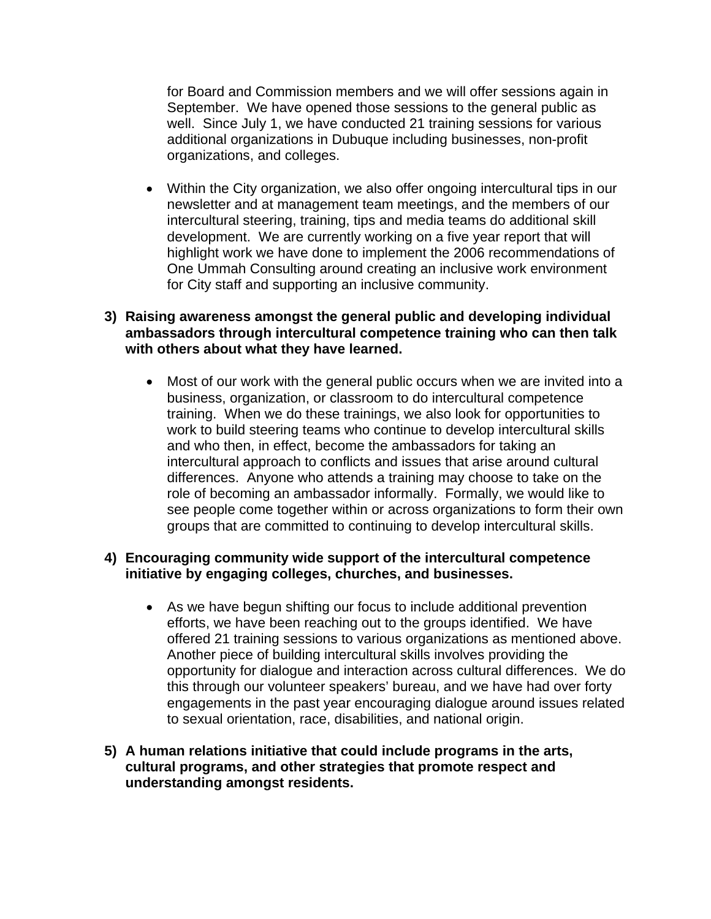for Board and Commission members and we will offer sessions again in September. We have opened those sessions to the general public as well. Since July 1, we have conducted 21 training sessions for various additional organizations in Dubuque including businesses, non-profit organizations, and colleges.

 Within the City organization, we also offer ongoing intercultural tips in our newsletter and at management team meetings, and the members of our intercultural steering, training, tips and media teams do additional skill development. We are currently working on a five year report that will highlight work we have done to implement the 2006 recommendations of One Ummah Consulting around creating an inclusive work environment for City staff and supporting an inclusive community.

## **3) Raising awareness amongst the general public and developing individual ambassadors through intercultural competence training who can then talk with others about what they have learned.**

 Most of our work with the general public occurs when we are invited into a business, organization, or classroom to do intercultural competence training. When we do these trainings, we also look for opportunities to work to build steering teams who continue to develop intercultural skills and who then, in effect, become the ambassadors for taking an intercultural approach to conflicts and issues that arise around cultural differences. Anyone who attends a training may choose to take on the role of becoming an ambassador informally. Formally, we would like to see people come together within or across organizations to form their own groups that are committed to continuing to develop intercultural skills.

# **4) Encouraging community wide support of the intercultural competence initiative by engaging colleges, churches, and businesses.**

- As we have begun shifting our focus to include additional prevention efforts, we have been reaching out to the groups identified. We have offered 21 training sessions to various organizations as mentioned above. Another piece of building intercultural skills involves providing the opportunity for dialogue and interaction across cultural differences. We do this through our volunteer speakers' bureau, and we have had over forty engagements in the past year encouraging dialogue around issues related to sexual orientation, race, disabilities, and national origin.
- **5) A human relations initiative that could include programs in the arts, cultural programs, and other strategies that promote respect and understanding amongst residents.**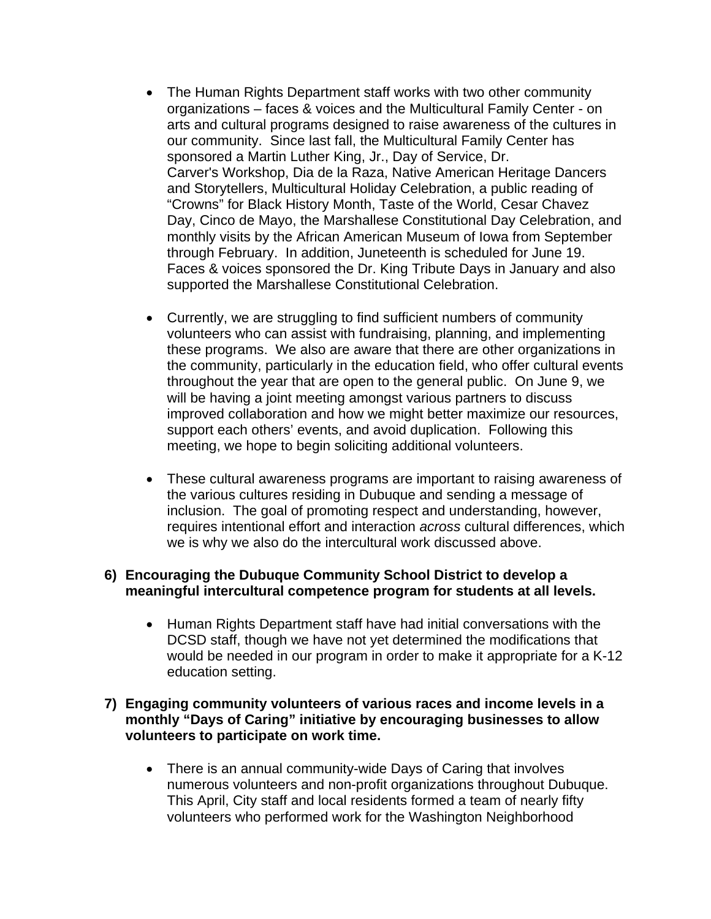- The Human Rights Department staff works with two other community organizations – faces & voices and the Multicultural Family Center - on arts and cultural programs designed to raise awareness of the cultures in our community. Since last fall, the Multicultural Family Center has sponsored a Martin Luther King, Jr., Day of Service, Dr. Carver's Workshop, Dia de la Raza, Native American Heritage Dancers and Storytellers, Multicultural Holiday Celebration, a public reading of "Crowns" for Black History Month, Taste of the World, Cesar Chavez Day, Cinco de Mayo, the Marshallese Constitutional Day Celebration, and monthly visits by the African American Museum of Iowa from September through February. In addition, Juneteenth is scheduled for June 19. Faces & voices sponsored the Dr. King Tribute Days in January and also supported the Marshallese Constitutional Celebration.
- Currently, we are struggling to find sufficient numbers of community volunteers who can assist with fundraising, planning, and implementing these programs. We also are aware that there are other organizations in the community, particularly in the education field, who offer cultural events throughout the year that are open to the general public. On June 9, we will be having a joint meeting amongst various partners to discuss improved collaboration and how we might better maximize our resources, support each others' events, and avoid duplication. Following this meeting, we hope to begin soliciting additional volunteers.
- These cultural awareness programs are important to raising awareness of the various cultures residing in Dubuque and sending a message of inclusion. The goal of promoting respect and understanding, however, requires intentional effort and interaction *across* cultural differences, which we is why we also do the intercultural work discussed above.

# **6) Encouraging the Dubuque Community School District to develop a meaningful intercultural competence program for students at all levels.**

• Human Rights Department staff have had initial conversations with the DCSD staff, though we have not yet determined the modifications that would be needed in our program in order to make it appropriate for a K-12 education setting.

# **7) Engaging community volunteers of various races and income levels in a monthly "Days of Caring" initiative by encouraging businesses to allow volunteers to participate on work time.**

• There is an annual community-wide Days of Caring that involves numerous volunteers and non-profit organizations throughout Dubuque. This April, City staff and local residents formed a team of nearly fifty volunteers who performed work for the Washington Neighborhood